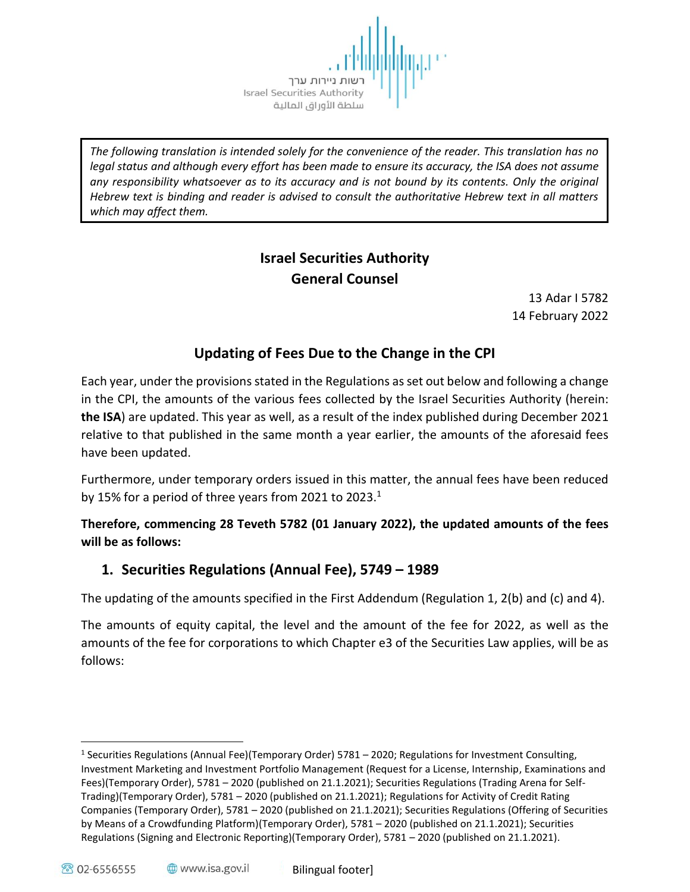שות ניירות ערך Israel Securities Authority سلطة الأوراق المالية

*The following translation is intended solely for the convenience of the reader. This translation has no legal status and although every effort has been made to ensure its accuracy, the ISA does not assume any responsibility whatsoever as to its accuracy and is not bound by its contents. Only the original Hebrew text is binding and reader is advised to consult the authoritative Hebrew text in all matters which may affect them.*

# **Israel Securities Authority General Counsel**

13 Adar I 5782 14 February 2022

# **Updating of Fees Due to the Change in the CPI**

Each year, under the provisions stated in the Regulations as set out below and following a change in the CPI, the amounts of the various fees collected by the Israel Securities Authority (herein: **the ISA**) are updated. This year as well, as a result of the index published during December 2021 relative to that published in the same month a year earlier, the amounts of the aforesaid fees have been updated.

Furthermore, under temporary orders issued in this matter, the annual fees have been reduced by 15% for a period of three years from 2021 to 2023.<sup>1</sup>

**Therefore, commencing 28 Teveth 5782 (01 January 2022), the updated amounts of the fees will be as follows:** 

# **1. Securities Regulations (Annual Fee), 5749 – 1989**

The updating of the amounts specified in the First Addendum (Regulation 1, 2(b) and (c) and 4).

The amounts of equity capital, the level and the amount of the fee for 2022, as well as the amounts of the fee for corporations to which Chapter e3 of the Securities Law applies, will be as follows:

 $\overline{a}$ 

<sup>&</sup>lt;sup>1</sup> Securities Regulations (Annual Fee)(Temporary Order) 5781 – 2020; Regulations for Investment Consulting, Investment Marketing and Investment Portfolio Management (Request for a License, Internship, Examinations and Fees)(Temporary Order), 5781 – 2020 (published on 21.1.2021); Securities Regulations (Trading Arena for Self-Trading)(Temporary Order), 5781 – 2020 (published on 21.1.2021); Regulations for Activity of Credit Rating Companies (Temporary Order), 5781 – 2020 (published on 21.1.2021); Securities Regulations (Offering of Securities by Means of a Crowdfunding Platform)(Temporary Order), 5781 – 2020 (published on 21.1.2021); Securities Regulations (Signing and Electronic Reporting)(Temporary Order), 5781 – 2020 (published on 21.1.2021).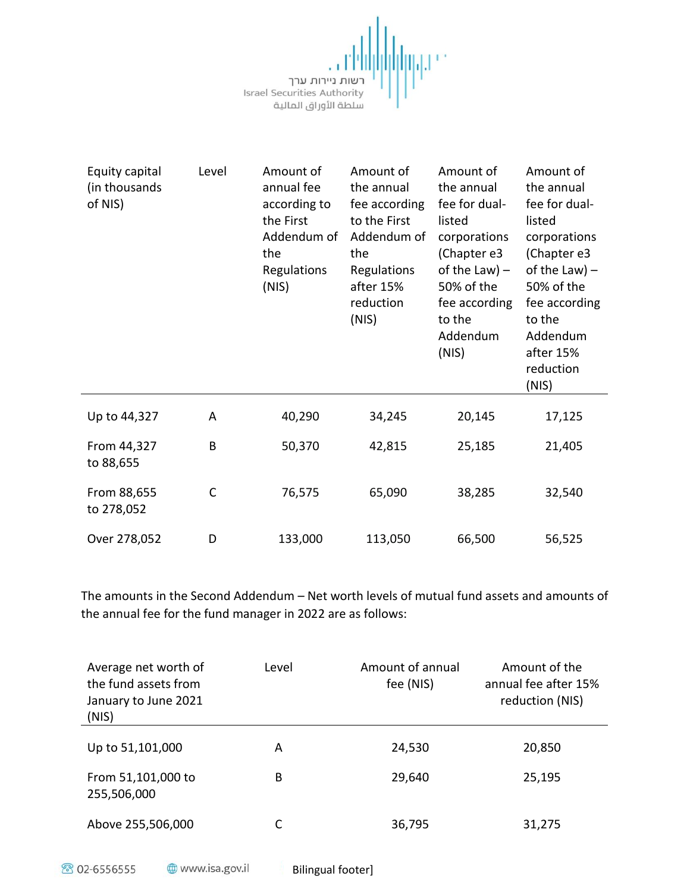<mark>||||||</mark>|<br>|רשות ניירות ערך<br>|Israel Securities Authority<br>سلطة الأوراق المالية

咖啡

| Equity capital<br>(in thousands<br>of NIS) | Level | Amount of<br>annual fee<br>according to<br>the First<br>Addendum of<br>the<br>Regulations<br>(NIS) | Amount of<br>the annual<br>fee according<br>to the First<br>Addendum of<br>the<br>Regulations<br>after 15%<br>reduction<br>(NIS) | Amount of<br>the annual<br>fee for dual-<br>listed<br>corporations<br>(Chapter e3<br>of the Law) $-$<br>50% of the<br>fee according<br>to the<br>Addendum<br>(NIS) | Amount of<br>the annual<br>fee for dual-<br>listed<br>corporations<br>(Chapter e3<br>of the Law) $-$<br>50% of the<br>fee according<br>to the<br>Addendum<br>after 15%<br>reduction<br>(NIS) |
|--------------------------------------------|-------|----------------------------------------------------------------------------------------------------|----------------------------------------------------------------------------------------------------------------------------------|--------------------------------------------------------------------------------------------------------------------------------------------------------------------|----------------------------------------------------------------------------------------------------------------------------------------------------------------------------------------------|
| Up to 44,327                               | Α     | 40,290                                                                                             | 34,245                                                                                                                           | 20,145                                                                                                                                                             | 17,125                                                                                                                                                                                       |
| From 44,327<br>to 88,655                   | B     | 50,370                                                                                             | 42,815                                                                                                                           | 25,185                                                                                                                                                             | 21,405                                                                                                                                                                                       |
| From 88,655<br>to 278,052                  | C     | 76,575                                                                                             | 65,090                                                                                                                           | 38,285                                                                                                                                                             | 32,540                                                                                                                                                                                       |
| Over 278,052                               | D     | 133,000                                                                                            | 113,050                                                                                                                          | 66,500                                                                                                                                                             | 56,525                                                                                                                                                                                       |

The amounts in the Second Addendum – Net worth levels of mutual fund assets and amounts of the annual fee for the fund manager in 2022 are as follows:

| Average net worth of<br>the fund assets from<br>January to June 2021<br>(NIS) | Level | Amount of annual<br>fee (NIS) | Amount of the<br>annual fee after 15%<br>reduction (NIS) |
|-------------------------------------------------------------------------------|-------|-------------------------------|----------------------------------------------------------|
| Up to 51,101,000                                                              | А     | 24,530                        | 20,850                                                   |
| From 51,101,000 to<br>255,506,000                                             | В     | 29,640                        | 25,195                                                   |
| Above 255,506,000                                                             |       | 36,795                        | 31,275                                                   |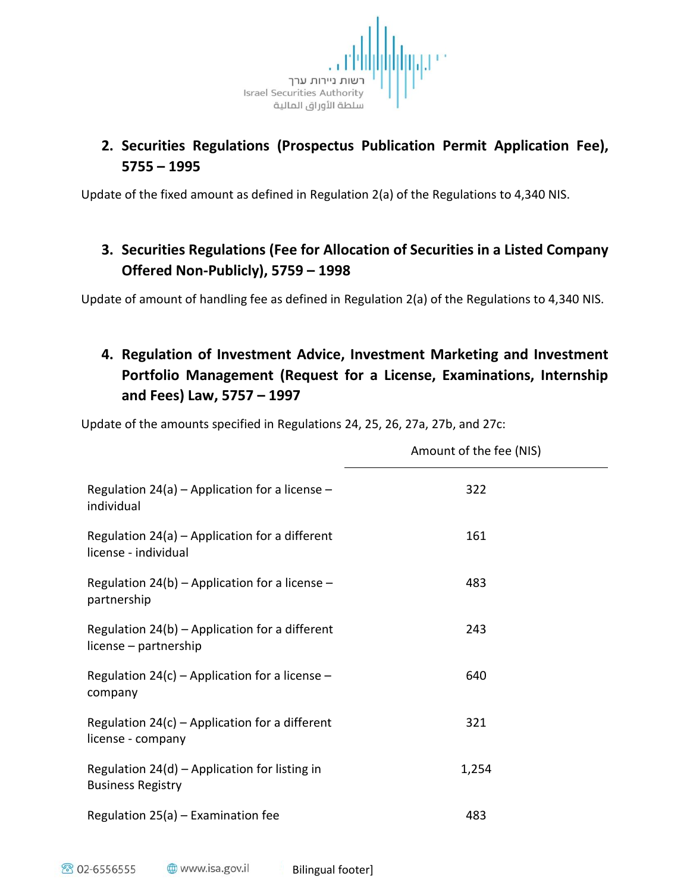

# **2. Securities Regulations (Prospectus Publication Permit Application Fee), 5755 – 1995**

Update of the fixed amount as defined in Regulation 2(a) of the Regulations to 4,340 NIS.

# **3. Securities Regulations (Fee for Allocation of Securities in a Listed Company Offered Non-Publicly), 5759 – 1998**

Update of amount of handling fee as defined in Regulation 2(a) of the Regulations to 4,340 NIS.

# **4. Regulation of Investment Advice, Investment Marketing and Investment Portfolio Management (Request for a License, Examinations, Internship and Fees) Law, 5757 – 1997**

Update of the amounts specified in Regulations 24, 25, 26, 27a, 27b, and 27c:

|                                                                             | Amount of the fee (NIS) |
|-----------------------------------------------------------------------------|-------------------------|
| Regulation $24(a)$ – Application for a license –<br>individual              | 322                     |
| Regulation $24(a)$ – Application for a different<br>license - individual    | 161                     |
| Regulation $24(b)$ – Application for a license –<br>partnership             | 483                     |
| Regulation $24(b)$ – Application for a different<br>license – partnership   | 243                     |
| Regulation 24(c) – Application for a license –<br>company                   | 640                     |
| Regulation $24(c)$ – Application for a different<br>license - company       | 321                     |
| Regulation $24(d)$ – Application for listing in<br><b>Business Registry</b> | 1,254                   |
| Regulation $25(a)$ – Examination fee                                        | 483                     |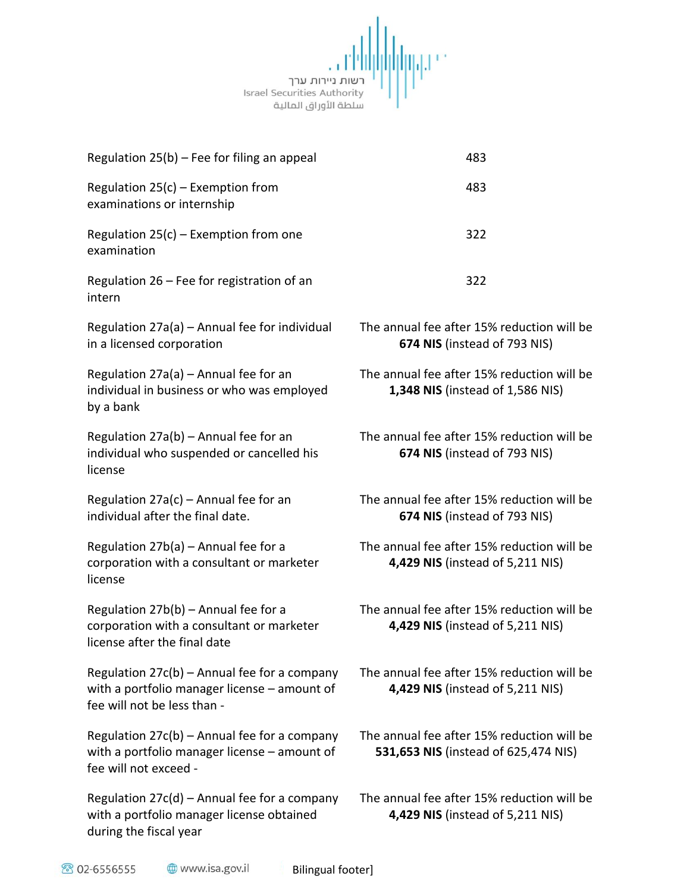

| Regulation $25(b)$ – Fee for filing an appeal                                                                                 | 483                                                                                |
|-------------------------------------------------------------------------------------------------------------------------------|------------------------------------------------------------------------------------|
| Regulation $25(c)$ – Exemption from<br>examinations or internship                                                             | 483                                                                                |
| Regulation $25(c)$ – Exemption from one<br>examination                                                                        | 322                                                                                |
| Regulation $26$ – Fee for registration of an<br>intern                                                                        | 322                                                                                |
| Regulation 27a(a) - Annual fee for individual<br>in a licensed corporation                                                    | The annual fee after 15% reduction will be<br>674 NIS (instead of 793 NIS)         |
| Regulation $27a(a)$ – Annual fee for an<br>individual in business or who was employed<br>by a bank                            | The annual fee after 15% reduction will be<br>1,348 NIS (instead of 1,586 NIS)     |
| Regulation $27a(b)$ – Annual fee for an<br>individual who suspended or cancelled his<br>license                               | The annual fee after 15% reduction will be<br>674 NIS (instead of 793 NIS)         |
| Regulation $27a(c)$ – Annual fee for an<br>individual after the final date.                                                   | The annual fee after 15% reduction will be<br>674 NIS (instead of 793 NIS)         |
| Regulation $27b(a)$ – Annual fee for a<br>corporation with a consultant or marketer<br>license                                | The annual fee after 15% reduction will be<br>4,429 NIS (instead of 5,211 NIS)     |
| Regulation $27b(b)$ – Annual fee for a<br>corporation with a consultant or marketer<br>license after the final date           | The annual fee after 15% reduction will be<br>4,429 NIS (instead of 5,211 NIS)     |
| Regulation $27c(b)$ – Annual fee for a company<br>with a portfolio manager license - amount of<br>fee will not be less than - | The annual fee after 15% reduction will be<br>4,429 NIS (instead of 5,211 NIS)     |
| Regulation $27c(b)$ – Annual fee for a company<br>with a portfolio manager license - amount of<br>fee will not exceed -       | The annual fee after 15% reduction will be<br>531,653 NIS (instead of 625,474 NIS) |
| Regulation $27c(d)$ – Annual fee for a company<br>with a portfolio manager license obtained<br>during the fiscal year         | The annual fee after 15% reduction will be<br>4,429 NIS (instead of 5,211 NIS)     |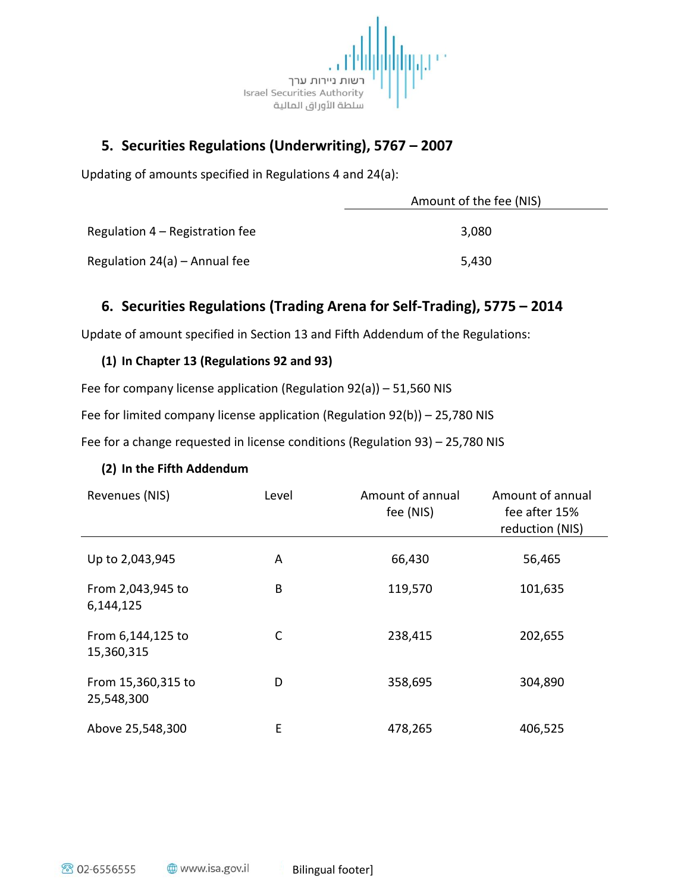

# **5. Securities Regulations (Underwriting), 5767 – 2007**

Updating of amounts specified in Regulations 4 and 24(a):

|                                   | Amount of the fee (NIS) |
|-----------------------------------|-------------------------|
| Regulation $4 -$ Registration fee | 3.080                   |
| Regulation $24(a)$ – Annual fee   | 5,430                   |

### **6. Securities Regulations (Trading Arena for Self-Trading), 5775 – 2014**

Update of amount specified in Section 13 and Fifth Addendum of the Regulations:

### **(1) In Chapter 13 (Regulations 92 and 93)**

Fee for company license application (Regulation 92(a)) – 51,560 NIS

Fee for limited company license application (Regulation 92(b)) – 25,780 NIS

Fee for a change requested in license conditions (Regulation 93) – 25,780 NIS

### **(2) In the Fifth Addendum**

| Revenues (NIS)                   | Level | Amount of annual<br>fee (NIS) | Amount of annual<br>fee after 15%<br>reduction (NIS) |
|----------------------------------|-------|-------------------------------|------------------------------------------------------|
| Up to 2,043,945                  | A     | 66,430                        | 56,465                                               |
| From 2,043,945 to<br>6,144,125   | B     | 119,570                       | 101,635                                              |
| From 6,144,125 to<br>15,360,315  | C     | 238,415                       | 202,655                                              |
| From 15,360,315 to<br>25,548,300 | D     | 358,695                       | 304,890                                              |
| Above 25,548,300                 | E     | 478,265                       | 406,525                                              |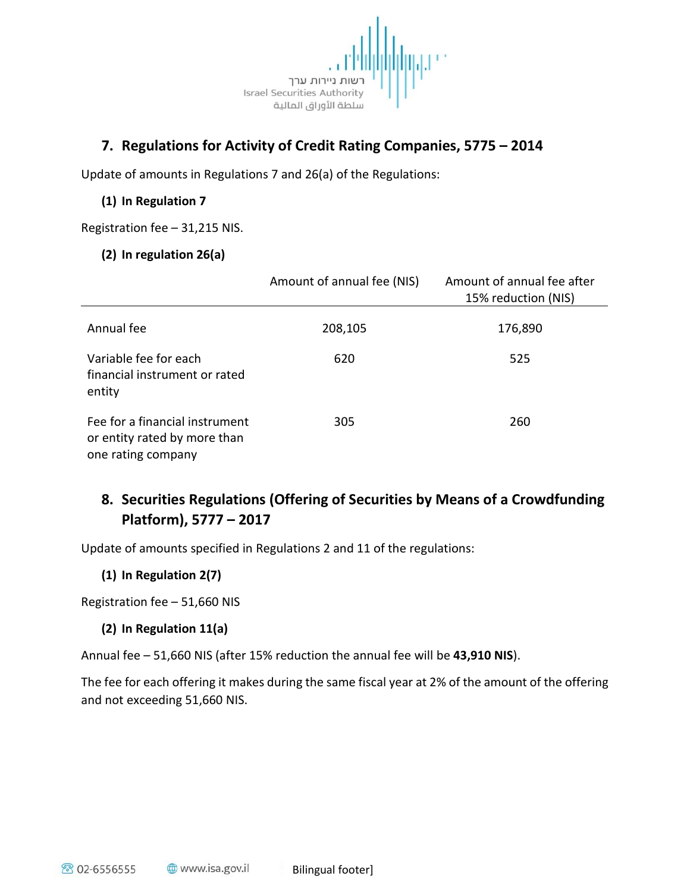

### **7. Regulations for Activity of Credit Rating Companies, 5775 – 2014**

Update of amounts in Regulations 7 and 26(a) of the Regulations:

### **(1) In Regulation 7**

Registration fee – 31,215 NIS.

#### **(2) In regulation 26(a)**

|                                                                                      | Amount of annual fee (NIS) | Amount of annual fee after<br>15% reduction (NIS) |
|--------------------------------------------------------------------------------------|----------------------------|---------------------------------------------------|
| Annual fee                                                                           | 208,105                    | 176,890                                           |
| Variable fee for each<br>financial instrument or rated<br>entity                     | 620                        | 525                                               |
| Fee for a financial instrument<br>or entity rated by more than<br>one rating company | 305                        | 260                                               |

# **8. Securities Regulations (Offering of Securities by Means of a Crowdfunding Platform), 5777 – 2017**

Update of amounts specified in Regulations 2 and 11 of the regulations:

### **(1) In Regulation 2(7)**

Registration fee – 51,660 NIS

### **(2) In Regulation 11(a)**

Annual fee – 51,660 NIS (after 15% reduction the annual fee will be **43,910 NIS**).

The fee for each offering it makes during the same fiscal year at 2% of the amount of the offering and not exceeding 51,660 NIS.